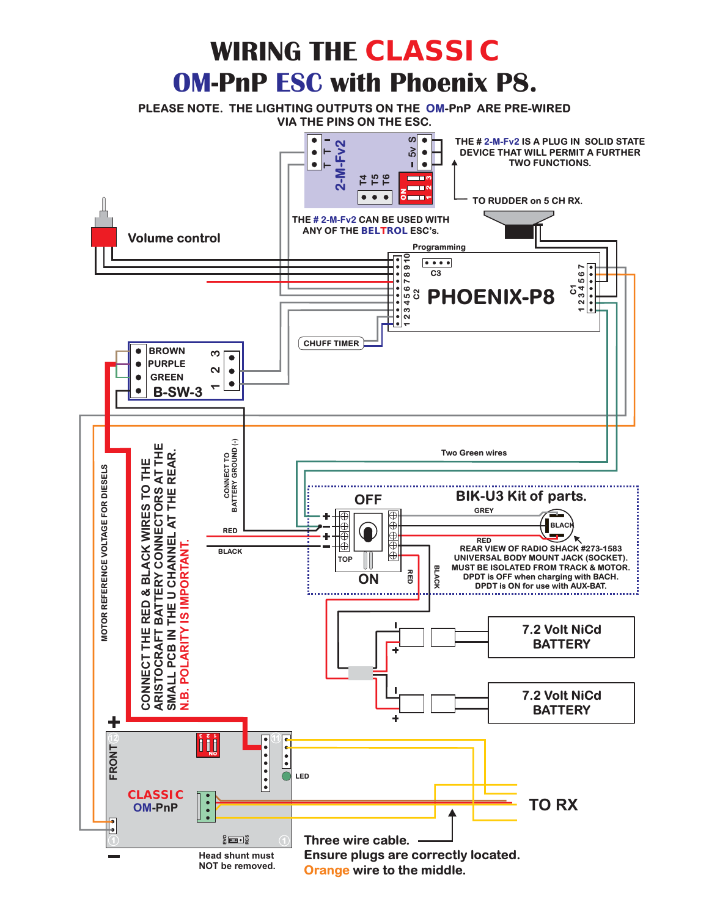